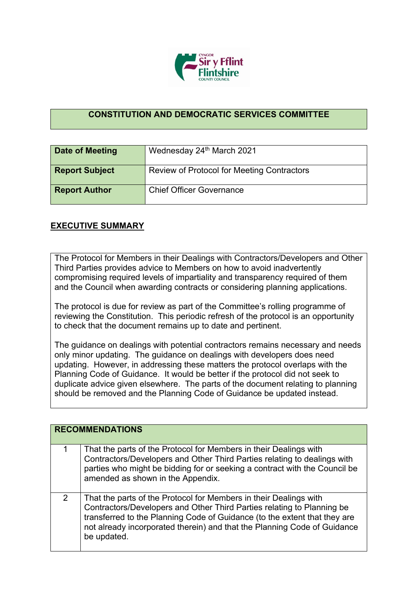

## **CONSTITUTION AND DEMOCRATIC SERVICES COMMITTEE**

| <b>Date of Meeting</b> | Wednesday 24th March 2021                         |
|------------------------|---------------------------------------------------|
| <b>Report Subject</b>  | <b>Review of Protocol for Meeting Contractors</b> |
| <b>Report Author</b>   | <b>Chief Officer Governance</b>                   |

## **EXECUTIVE SUMMARY**

The Protocol for Members in their Dealings with Contractors/Developers and Other Third Parties provides advice to Members on how to avoid inadvertently compromising required levels of impartiality and transparency required of them and the Council when awarding contracts or considering planning applications.

The protocol is due for review as part of the Committee's rolling programme of reviewing the Constitution. This periodic refresh of the protocol is an opportunity to check that the document remains up to date and pertinent.

The guidance on dealings with potential contractors remains necessary and needs only minor updating. The guidance on dealings with developers does need updating. However, in addressing these matters the protocol overlaps with the Planning Code of Guidance. It would be better if the protocol did not seek to duplicate advice given elsewhere. The parts of the document relating to planning should be removed and the Planning Code of Guidance be updated instead.

|   | <b>RECOMMENDATIONS</b>                                                                                                                                                                                                                                                                                              |
|---|---------------------------------------------------------------------------------------------------------------------------------------------------------------------------------------------------------------------------------------------------------------------------------------------------------------------|
| 1 | That the parts of the Protocol for Members in their Dealings with<br>Contractors/Developers and Other Third Parties relating to dealings with<br>parties who might be bidding for or seeking a contract with the Council be<br>amended as shown in the Appendix.                                                    |
| 2 | That the parts of the Protocol for Members in their Dealings with<br>Contractors/Developers and Other Third Parties relating to Planning be<br>transferred to the Planning Code of Guidance (to the extent that they are<br>not already incorporated therein) and that the Planning Code of Guidance<br>be updated. |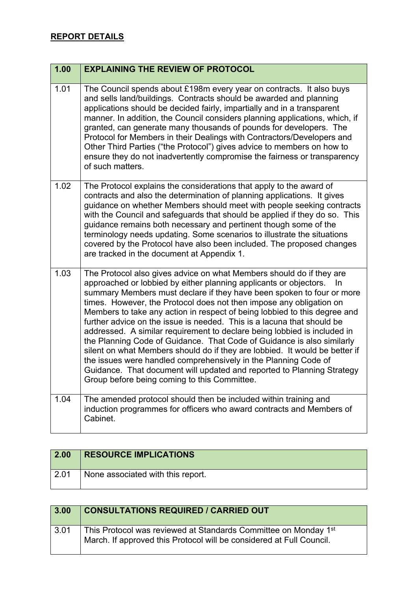| 1.00 | <b>EXPLAINING THE REVIEW OF PROTOCOL</b>                                                                                                                                                                                                                                                                                                                                                                                                                                                                                                                                                                                                                                                                                                                                                                                                                                                  |
|------|-------------------------------------------------------------------------------------------------------------------------------------------------------------------------------------------------------------------------------------------------------------------------------------------------------------------------------------------------------------------------------------------------------------------------------------------------------------------------------------------------------------------------------------------------------------------------------------------------------------------------------------------------------------------------------------------------------------------------------------------------------------------------------------------------------------------------------------------------------------------------------------------|
| 1.01 | The Council spends about £198m every year on contracts. It also buys<br>and sells land/buildings. Contracts should be awarded and planning<br>applications should be decided fairly, impartially and in a transparent<br>manner. In addition, the Council considers planning applications, which, if<br>granted, can generate many thousands of pounds for developers. The<br>Protocol for Members in their Dealings with Contractors/Developers and<br>Other Third Parties ("the Protocol") gives advice to members on how to<br>ensure they do not inadvertently compromise the fairness or transparency<br>of such matters.                                                                                                                                                                                                                                                            |
| 1.02 | The Protocol explains the considerations that apply to the award of<br>contracts and also the determination of planning applications. It gives<br>guidance on whether Members should meet with people seeking contracts<br>with the Council and safeguards that should be applied if they do so. This<br>guidance remains both necessary and pertinent though some of the<br>terminology needs updating. Some scenarios to illustrate the situations<br>covered by the Protocol have also been included. The proposed changes<br>are tracked in the document at Appendix 1.                                                                                                                                                                                                                                                                                                               |
| 1.03 | The Protocol also gives advice on what Members should do if they are<br>approached or lobbied by either planning applicants or objectors.<br>-ln<br>summary Members must declare if they have been spoken to four or more<br>times. However, the Protocol does not then impose any obligation on<br>Members to take any action in respect of being lobbied to this degree and<br>further advice on the issue is needed. This is a lacuna that should be<br>addressed. A similar requirement to declare being lobbied is included in<br>the Planning Code of Guidance. That Code of Guidance is also similarly<br>silent on what Members should do if they are lobbied. It would be better if<br>the issues were handled comprehensively in the Planning Code of<br>Guidance. That document will updated and reported to Planning Strategy<br>Group before being coming to this Committee. |
| 1.04 | The amended protocol should then be included within training and<br>induction programmes for officers who award contracts and Members of<br>Cabinet.                                                                                                                                                                                                                                                                                                                                                                                                                                                                                                                                                                                                                                                                                                                                      |

| 2.00         | <b>RESOURCE IMPLICATIONS</b>      |
|--------------|-----------------------------------|
| $\vert$ 2.01 | None associated with this report. |

| 3.00 | <b>CONSULTATIONS REQUIRED / CARRIED OUT</b>                                                                                             |
|------|-----------------------------------------------------------------------------------------------------------------------------------------|
| 3.01 | This Protocol was reviewed at Standards Committee on Monday 1st<br>March. If approved this Protocol will be considered at Full Council. |